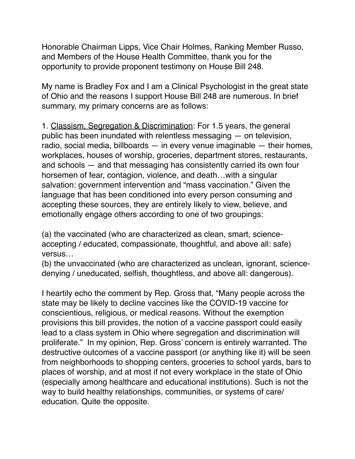Honorable Chairman Lipps, Vice Chair Holmes, Ranking Member Russo, and Members of the House Health Committee, thank you for the opportunity to provide proponent testimony on House Bill 248.

My name is Bradley Fox and I am a Clinical Psychologist in the great state of Ohio and the reasons I support House Bill 248 are numerous. In brief summary, my primary concerns are as follows:

1. Classism, Segregation & Discrimination: For 1.5 years, the general public has been inundated with relentless messaging — on television, radio, social media, billboards — in every venue imaginable — their homes, workplaces, houses of worship, groceries, department stores, restaurants, and schools — and that messaging has consistently carried its own four horsemen of fear, contagion, violence, and death…with a singular salvation: government intervention and "mass vaccination." Given the language that has been conditioned into every person consuming and accepting these sources, they are entirely likely to view, believe, and emotionally engage others according to one of two groupings:

(a) the vaccinated (who are characterized as clean, smart, scienceaccepting / educated, compassionate, thoughtful, and above all: safe) versus…

(b) the unvaccinated (who are characterized as unclean, ignorant, sciencedenying / uneducated, selfish, thoughtless, and above all: dangerous).

I heartily echo the comment by Rep. Gross that, "Many people across the state may be likely to decline vaccines like the COVID-19 vaccine for conscientious, religious, or medical reasons. Without the exemption provisions this bill provides, the notion of a vaccine passport could easily lead to a class system in Ohio where segregation and discrimination will proliferate." In my opinion, Rep. Gross' concern is entirely warranted. The destructive outcomes of a vaccine passport (or anything like it) will be seen from neighborhoods to shopping centers, groceries to school yards, bars to places of worship, and at most if not every workplace in the state of Ohio (especially among healthcare and educational institutions). Such is not the way to build healthy relationships, communities, or systems of care/ education. Quite the opposite.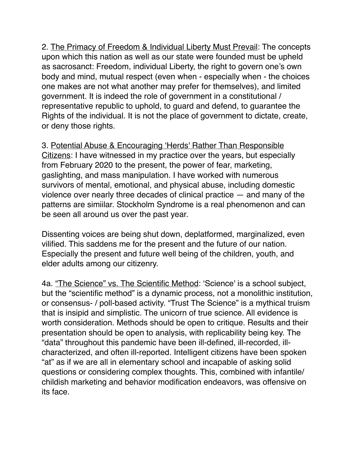2. The Primacy of Freedom & Individual Liberty Must Prevail: The concepts upon which this nation as well as our state were founded must be upheld as sacrosanct: Freedom, individual Liberty, the right to govern one's own body and mind, mutual respect (even when - especially when - the choices one makes are not what another may prefer for themselves), and limited government. It is indeed the role of government in a constitutional / representative republic to uphold, to guard and defend, to guarantee the Rights of the individual. It is not the place of government to dictate, create, or deny those rights.

3. Potential Abuse & Encouraging 'Herds' Rather Than Responsible Citizens: I have witnessed in my practice over the years, but especially from February 2020 to the present, the power of fear, marketing, gaslighting, and mass manipulation. I have worked with numerous survivors of mental, emotional, and physical abuse, including domestic violence over nearly three decades of clinical practice — and many of the patterns are simiilar. Stockholm Syndrome is a real phenomenon and can be seen all around us over the past year.

Dissenting voices are being shut down, deplatformed, marginalized, even vilified. This saddens me for the present and the future of our nation. Especially the present and future well being of the children, youth, and elder adults among our citizenry.

4a. "The Science" vs. The Scientific Method: 'Science' is a school subject, but the "scientific method" is a dynamic process, not a monolithic institution, or consensus- / poll-based activity. "Trust The Science" is a mythical truism that is insipid and simplistic. The unicorn of true science. All evidence is worth consideration. Methods should be open to critique. Results and their presentation should be open to analysis, with replicability being key. The "data" throughout this pandemic have been ill-defined, ill-recorded, illcharacterized, and often ill-reported. Intelligent citizens have been spoken "at" as if we are all in elementary school and incapable of asking solid questions or considering complex thoughts. This, combined with infantile/ childish marketing and behavior modification endeavors, was offensive on its face.